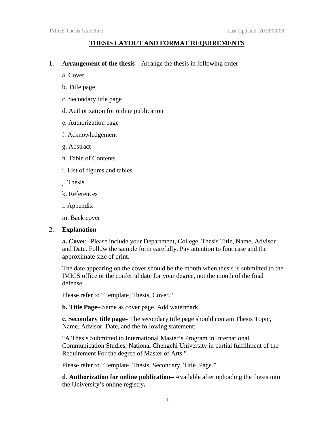## **THESIS LAYOUT AND FORMAT REQUIREMENTS**

**1. Arrangement of the thesis –** Arrange the thesis in following order

a. Cover

- b. Title page
- c. Secondary title page
- d. Authorization for online publication
- e. Authorization page
- f. Acknowledgement
- g. Abstract
- h. Table of Contents
- i. List of figures and tables
- j. Thesis
- k. References
- l. Appendix

m. Back cover

## **2. Explanation**

**a. Cover–** Please include your Department, College, Thesis Title, Name, Advisor and Date. Follow the sample form carefully. Pay attention to font case and the approximate size of print.

The date appearing on the cover should be the month when thesis is submitted to the IMICS office or the conferral date for your degree, not the month of the final defense.

Please refer to "Template\_Thesis\_Cover."

**b. Title Page–** Same as cover page. Add watermark.

**c. Secondary title page–** The secondary title page should contain Thesis Topic, Name, Advisor, Date, and the following statement:

"A Thesis Submitted to International Master's Program in International Communication Studies, National Chengchi University in partial fulfillment of the Requirement For the degree of Master of Arts."

Please refer to "Template\_Thesis\_Secondary\_Title\_Page."

**d**. **Authorization for online publication–** Available after uploading the thesis into the University's online registry**.**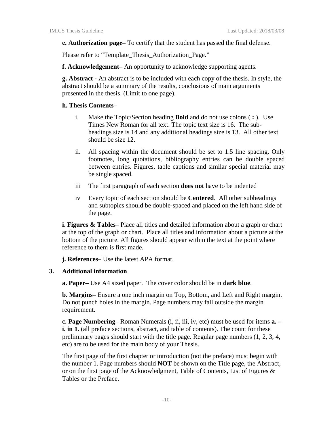**e. Authorization page–** To certify that the student has passed the final defense.

Please refer to "Template\_Thesis\_Authorization\_Page."

**f. Acknowledgement**– An opportunity to acknowledge supporting agents.

**g. Abstract -** An abstract is to be included with each copy of the thesis. In style, the abstract should be a summary of the results, conclusions of main arguments presented in the thesis. (Limit to one page).

## **h. Thesis Contents–**

- i. Make the Topic/Section heading **Bold** and do not use colons ( **:** ). Use Times New Roman for all text. The topic text size is 16. The subheadings size is 14 and any additional headings size is 13. All other text should be size 12.
- ii. All spacing within the document should be set to 1.5 line spacing. Only footnotes, long quotations, bibliography entries can be double spaced between entries. Figures, table captions and similar special material may be single spaced.
- iii The first paragraph of each section **does not** have to be indented
- iv Every topic of each section should be **Centered**. All other subheadings and subtopics should be double-spaced and placed on the left hand side of the page.

**i. Figures & Tables**– Place all titles and detailed information about a graph or chart at the top of the graph or chart. Place all titles and information about a picture at the bottom of the picture. All figures should appear within the text at the point where reference to them is first made.

**j. References**– Use the latest APA format.

## **3. Additional information**

**a. Paper–** Use A4 sized paper. The cover color should be in **dark blue**.

**b. Margins–** Ensure a one inch margin on Top, Bottom, and Left and Right margin. Do not punch holes in the margin. Page numbers may fall outside the margin requirement.

**c. Page Numbering**– Roman Numerals (i, ii, iii, iv, etc) must be used for items **a. – i.** in 1. (all preface sections, abstract, and table of contents). The count for these preliminary pages should start with the title page. Regular page numbers (1, 2, 3, 4, etc) are to be used for the main body of your Thesis.

The first page of the first chapter or introduction (not the preface) must begin with the number 1. Page numbers should **NOT** be shown on the Title page, the Abstract, or on the first page of the Acknowledgment, Table of Contents, List of Figures & Tables or the Preface.